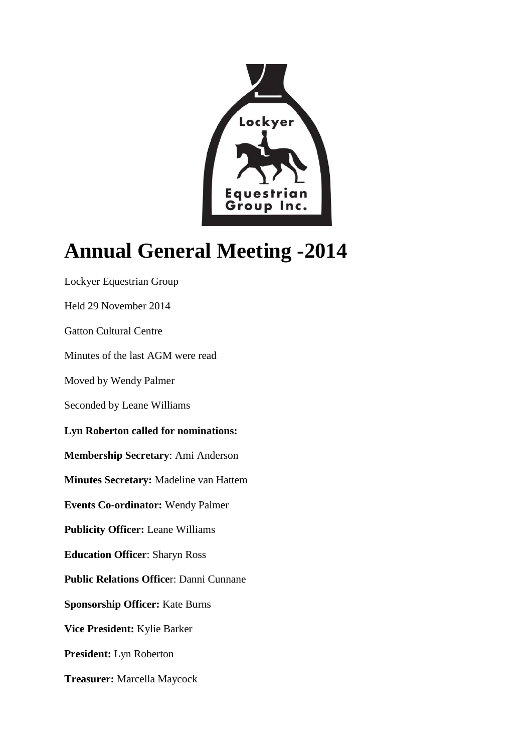

## **Annual General Meeting -2014**

Lockyer Equestrian Group Held 29 November 2014 Gatton Cultural Centre Minutes of the last AGM were read Moved by Wendy Palmer Seconded by Leane Williams **Lyn Roberton called for nominations: Membership Secretary**: Ami Anderson **Minutes Secretary:** Madeline van Hattem **Events Co-ordinator:** Wendy Palmer **Publicity Officer:** Leane Williams **Education Officer**: Sharyn Ross **Public Relations Office**r: Danni Cunnane **Sponsorship Officer:** Kate Burns **Vice President:** Kylie Barker **President:** Lyn Roberton **Treasurer:** Marcella Maycock